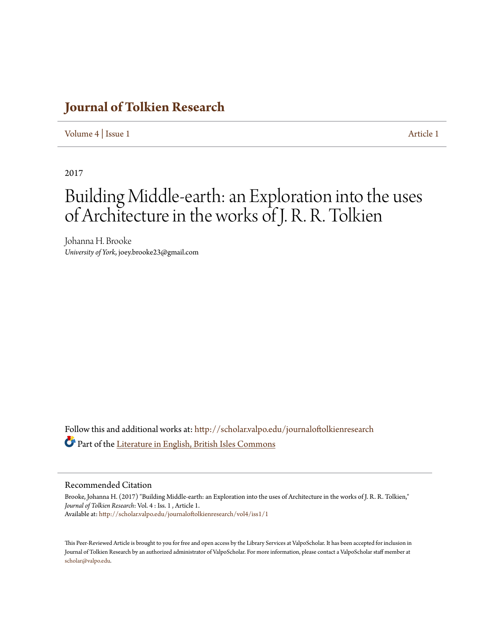### **[Journal of Tolkien Research](http://scholar.valpo.edu/journaloftolkienresearch?utm_source=scholar.valpo.edu%2Fjournaloftolkienresearch%2Fvol4%2Fiss1%2F1&utm_medium=PDF&utm_campaign=PDFCoverPages)**

### [Volume 4](http://scholar.valpo.edu/journaloftolkienresearch/vol4?utm_source=scholar.valpo.edu%2Fjournaloftolkienresearch%2Fvol4%2Fiss1%2F1&utm_medium=PDF&utm_campaign=PDFCoverPages) | [Issue 1](http://scholar.valpo.edu/journaloftolkienresearch/vol4/iss1?utm_source=scholar.valpo.edu%2Fjournaloftolkienresearch%2Fvol4%2Fiss1%2F1&utm_medium=PDF&utm_campaign=PDFCoverPages) [Article 1](http://scholar.valpo.edu/journaloftolkienresearch/vol4/iss1/1?utm_source=scholar.valpo.edu%2Fjournaloftolkienresearch%2Fvol4%2Fiss1%2F1&utm_medium=PDF&utm_campaign=PDFCoverPages)

2017

# Building Middle-earth: an Exploration into the uses of Architecture in the works of J. R. R. Tolkien

Johanna H. Brooke *University of York*, joey.brooke23@gmail.com

Follow this and additional works at: [http://scholar.valpo.edu/journaloftolkienresearch](http://scholar.valpo.edu/journaloftolkienresearch?utm_source=scholar.valpo.edu%2Fjournaloftolkienresearch%2Fvol4%2Fiss1%2F1&utm_medium=PDF&utm_campaign=PDFCoverPages) Part of the [Literature in English, British Isles Commons](http://network.bepress.com/hgg/discipline/456?utm_source=scholar.valpo.edu%2Fjournaloftolkienresearch%2Fvol4%2Fiss1%2F1&utm_medium=PDF&utm_campaign=PDFCoverPages)

#### Recommended Citation

Brooke, Johanna H. (2017) "Building Middle-earth: an Exploration into the uses of Architecture in the works of J. R. R. Tolkien," *Journal of Tolkien Research*: Vol. 4 : Iss. 1 , Article 1. Available at: [http://scholar.valpo.edu/journaloftolkienresearch/vol4/iss1/1](http://scholar.valpo.edu/journaloftolkienresearch/vol4/iss1/1?utm_source=scholar.valpo.edu%2Fjournaloftolkienresearch%2Fvol4%2Fiss1%2F1&utm_medium=PDF&utm_campaign=PDFCoverPages)

This Peer-Reviewed Article is brought to you for free and open access by the Library Services at ValpoScholar. It has been accepted for inclusion in Journal of Tolkien Research by an authorized administrator of ValpoScholar. For more information, please contact a ValpoScholar staff member at [scholar@valpo.edu.](mailto:scholar@valpo.edu)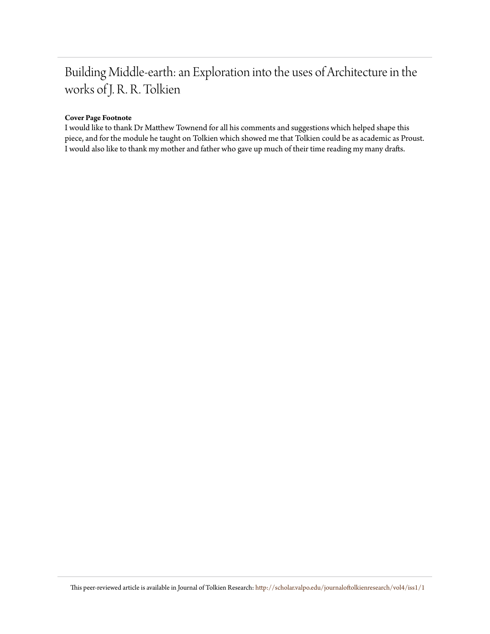## Building Middle-earth: an Exploration into the uses of Architecture in the works of J. R. R. Tolkien

### **Cover Page Footnote**

I would like to thank Dr Matthew Townend for all his comments and suggestions which helped shape this piece, and for the module he taught on Tolkien which showed me that Tolkien could be as academic as Proust. I would also like to thank my mother and father who gave up much of their time reading my many drafts.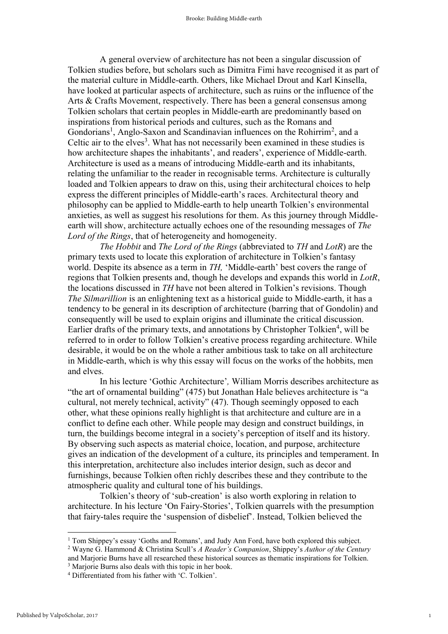A general overview of architecture has not been a singular discussion of Tolkien studies before, but scholars such as Dimitra Fimi have recognised it as part of the material culture in Middle-earth. Others, like Michael Drout and Karl Kinsella, have looked at particular aspects of architecture, such as ruins or the influence of the Arts & Crafts Movement, respectively. There has been a general consensus among Tolkien scholars that certain peoples in Middle-earth are predominantly based on inspirations from historical periods and cultures, such as the Romans and Gondorians<sup>1</sup>, Anglo-Saxon and Scandinavian influences on the Rohirrim<sup>2</sup>, and a Celtic air to the elves<sup>3</sup>. What has not necessarily been examined in these studies is how architecture shapes the inhabitants', and readers', experience of Middle-earth. Architecture is used as a means of introducing Middle-earth and its inhabitants, relating the unfamiliar to the reader in recognisable terms. Architecture is culturally loaded and Tolkien appears to draw on this, using their architectural choices to help express the different principles of Middle-earth's races. Architectural theory and philosophy can be applied to Middle-earth to help unearth Tolkien's environmental anxieties, as well as suggest his resolutions for them. As this journey through Middleearth will show, architecture actually echoes one of the resounding messages of *The Lord of the Rings*, that of heterogeneity and homogeneity.

*The Hobbit* and *The Lord of the Rings* (abbreviated to *TH* and *LotR*) are the primary texts used to locate this exploration of architecture in Tolkien's fantasy world. Despite its absence as a term in *TH,* 'Middle-earth' best covers the range of regions that Tolkien presents and, though he develops and expands this world in *LotR*, the locations discussed in *TH* have not been altered in Tolkien's revisions. Though *The Silmarillion* is an enlightening text as a historical guide to Middle-earth, it has a tendency to be general in its description of architecture (barring that of Gondolin) and consequently will be used to explain origins and illuminate the critical discussion. Earlier drafts of the primary texts, and annotations by Christopher Tolkien<sup>4</sup>, will be referred to in order to follow Tolkien's creative process regarding architecture. While desirable, it would be on the whole a rather ambitious task to take on all architecture in Middle-earth, which is why this essay will focus on the works of the hobbits, men and elves.

In his lecture 'Gothic Architecture'*,* William Morris describes architecture as "the art of ornamental building" (475) but Jonathan Hale believes architecture is "a cultural, not merely technical, activity" (47). Though seemingly opposed to each other, what these opinions really highlight is that architecture and culture are in a conflict to define each other. While people may design and construct buildings, in turn, the buildings become integral in a society's perception of itself and its history. By observing such aspects as material choice, location, and purpose, architecture gives an indication of the development of a culture, its principles and temperament. In this interpretation, architecture also includes interior design, such as decor and furnishings, because Tolkien often richly describes these and they contribute to the atmospheric quality and cultural tone of his buildings.

Tolkien's theory of 'sub-creation' is also worth exploring in relation to architecture. In his lecture 'On Fairy-Stories', Tolkien quarrels with the presumption that fairy-tales require the 'suspension of disbelief'. Instead, Tolkien believed the

and Marjorie Burns have all researched these historical sources as thematic inspirations for Tolkien.

<sup>&</sup>lt;sup>1</sup> Tom Shippey's essay 'Goths and Romans', and Judy Ann Ford, have both explored this subject.

<sup>2</sup> Wayne G. Hammond & Christina Scull's *A Reader's Companion*, Shippey's *Author of the Century*

<sup>3</sup> Marjorie Burns also deals with this topic in her book.

<sup>4</sup> Differentiated from his father with 'C. Tolkien'.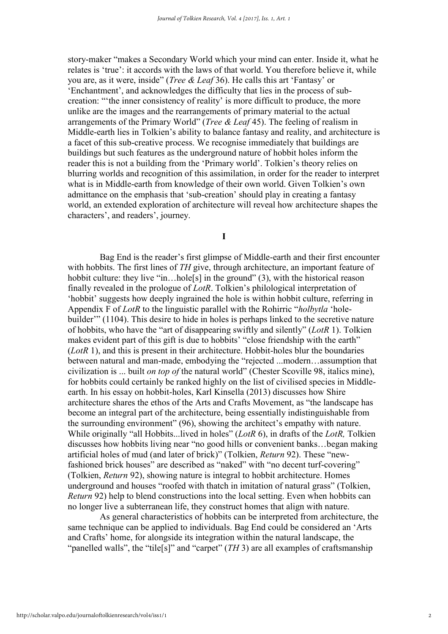story-maker "makes a Secondary World which your mind can enter. Inside it, what he relates is 'true': it accords with the laws of that world. You therefore believe it, while you are, as it were, inside" (*Tree & Leaf* 36). He calls this art 'Fantasy' or 'Enchantment', and acknowledges the difficulty that lies in the process of subcreation: "'the inner consistency of reality' is more difficult to produce, the more unlike are the images and the rearrangements of primary material to the actual arrangements of the Primary World" (*Tree & Leaf* 45). The feeling of realism in Middle-earth lies in Tolkien's ability to balance fantasy and reality, and architecture is a facet of this sub-creative process. We recognise immediately that buildings are buildings but such features as the underground nature of hobbit holes inform the reader this is not a building from the 'Primary world'. Tolkien's theory relies on blurring worlds and recognition of this assimilation, in order for the reader to interpret what is in Middle-earth from knowledge of their own world. Given Tolkien's own admittance on the emphasis that 'sub-creation' should play in creating a fantasy world, an extended exploration of architecture will reveal how architecture shapes the characters', and readers', journey.

I

Bag End is the reader's first glimpse of Middle-earth and their first encounter with hobbits. The first lines of *TH* give, through architecture, an important feature of hobbit culture: they live "in...hole<sup>[5]</sup> in the ground" (3), with the historical reason finally revealed in the prologue of *LotR*. Tolkien's philological interpretation of 'hobbit' suggests how deeply ingrained the hole is within hobbit culture, referring in Appendix F of *LotR* to the linguistic parallel with the Rohirric "*holbytla* 'holebuilder'" (1104). This desire to hide in holes is perhaps linked to the secretive nature of hobbits, who have the "art of disappearing swiftly and silently" (*LotR* 1). Tolkien makes evident part of this gift is due to hobbits' "close friendship with the earth" (*LotR* 1), and this is present in their architecture. Hobbit-holes blur the boundaries between natural and man-made, embodying the "rejected ...modern…assumption that civilization is ... built *on top of* the natural world" (Chester Scoville 98, italics mine), for hobbits could certainly be ranked highly on the list of civilised species in Middleearth. In his essay on hobbit-holes, Karl Kinsella (2013) discusses how Shire architecture shares the ethos of the Arts and Crafts Movement, as "the landscape has become an integral part of the architecture, being essentially indistinguishable from the surrounding environment" (96), showing the architect's empathy with nature. While originally "all Hobbits...lived in holes" (*LotR* 6), in drafts of the *LotR,* Tolkien discusses how hobbits living near "no good hills or convenient banks…began making artificial holes of mud (and later of brick)" (Tolkien, *Return* 92). These "newfashioned brick houses" are described as "naked" with "no decent turf-covering" (Tolkien, *Return* 92), showing nature is integral to hobbit architecture. Homes underground and houses "roofed with thatch in imitation of natural grass" (Tolkien, *Return* 92) help to blend constructions into the local setting. Even when hobbits can no longer live a subterranean life, they construct homes that align with nature.

As general characteristics of hobbits can be interpreted from architecture, the same technique can be applied to individuals. Bag End could be considered an 'Arts and Crafts' home, for alongside its integration within the natural landscape, the "panelled walls", the "tile[s]" and "carpet" (*TH* 3) are all examples of craftsmanship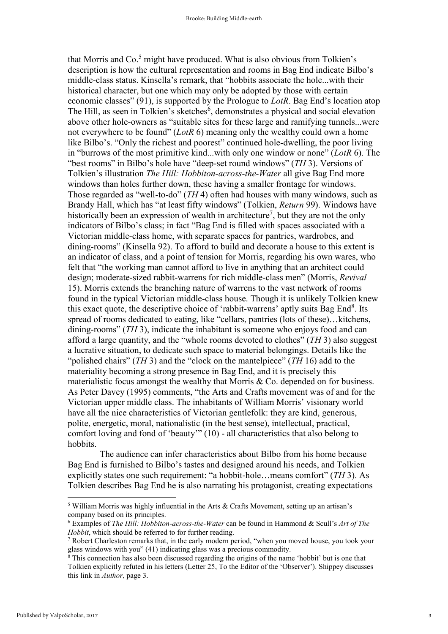that Morris and  $Co<sup>5</sup>$  might have produced. What is also obvious from Tolkien's description is how the cultural representation and rooms in Bag End indicate Bilbo's middle-class status. Kinsella's remark, that "hobbits associate the hole...with their historical character, but one which may only be adopted by those with certain economic classes" (91), is supported by the Prologue to *LotR*. Bag End's location atop The Hill, as seen in Tolkien's sketches<sup>6</sup>, demonstrates a physical and social elevation above other hole-owners as "suitable sites for these large and ramifying tunnels...were not everywhere to be found" (*LotR* 6) meaning only the wealthy could own a home like Bilbo's. "Only the richest and poorest" continued hole-dwelling, the poor living in "burrows of the most primitive kind...with only one window or none" (*LotR* 6). The "best rooms" in Bilbo's hole have "deep-set round windows" (*TH* 3). Versions of Tolkien's illustration *The Hill: Hobbiton-across-the-Water* all give Bag End more windows than holes further down, these having a smaller frontage for windows. Those regarded as "well-to-do" (*TH* 4) often had houses with many windows, such as Brandy Hall, which has "at least fifty windows" (Tolkien, *Return* 99). Windows have historically been an expression of wealth in architecture<sup>7</sup>, but they are not the only indicators of Bilbo's class; in fact "Bag End is filled with spaces associated with a Victorian middle-class home, with separate spaces for pantries, wardrobes, and dining-rooms" (Kinsella 92). To afford to build and decorate a house to this extent is an indicator of class, and a point of tension for Morris, regarding his own wares, who felt that "the working man cannot afford to live in anything that an architect could design; moderate-sized rabbit-warrens for rich middle-class men" (Morris, *Revival*  15). Morris extends the branching nature of warrens to the vast network of rooms found in the typical Victorian middle-class house. Though it is unlikely Tolkien knew this exact quote, the descriptive choice of 'rabbit-warrens' aptly suits Bag End<sup>8</sup>. Its spread of rooms dedicated to eating, like "cellars, pantries (lots of these)…kitchens, dining-rooms" (*TH* 3), indicate the inhabitant is someone who enjoys food and can afford a large quantity, and the "whole rooms devoted to clothes" (*TH* 3) also suggest a lucrative situation, to dedicate such space to material belongings. Details like the "polished chairs" (*TH* 3) and the "clock on the mantelpiece" (*TH* 16) add to the materiality becoming a strong presence in Bag End, and it is precisely this materialistic focus amongst the wealthy that Morris  $& Co.$  depended on for business. As Peter Davey (1995) comments, "the Arts and Crafts movement was of and for the Victorian upper middle class. The inhabitants of William Morris' visionary world have all the nice characteristics of Victorian gentlefolk: they are kind, generous, polite, energetic, moral, nationalistic (in the best sense), intellectual, practical, comfort loving and fond of 'beauty'" (10) - all characteristics that also belong to hobbits.

The audience can infer characteristics about Bilbo from his home because Bag End is furnished to Bilbo's tastes and designed around his needs, and Tolkien explicitly states one such requirement: "a hobbit-hole…means comfort" (*TH* 3). As Tolkien describes Bag End he is also narrating his protagonist, creating expectations

<sup>5</sup> William Morris was highly influential in the Arts & Crafts Movement, setting up an artisan's company based on its principles.

<sup>6</sup> Examples of *The Hill: Hobbiton-across-the-Water* can be found in Hammond & Scull's *Art of The Hobbit*, which should be referred to for further reading.

<sup>7</sup> Robert Charleston remarks that, in the early modern period, "when you moved house, you took your glass windows with you" (41) indicating glass was a precious commodity.

<sup>&</sup>lt;sup>8</sup> This connection has also been discussed regarding the origins of the name 'hobbit' but is one that Tolkien explicitly refuted in his letters (Letter 25, To the Editor of the 'Observer'). Shippey discusses this link in *Author*, page 3.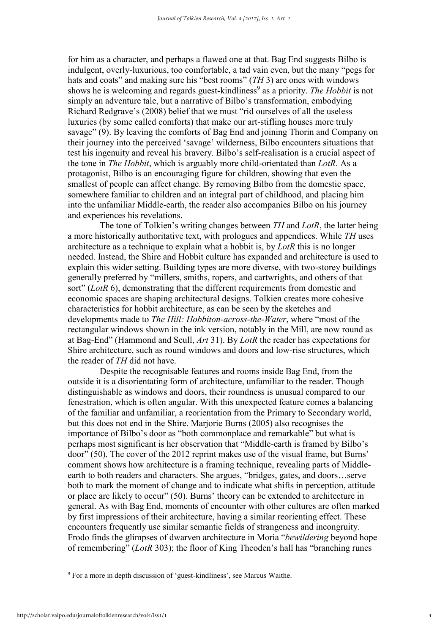for him as a character, and perhaps a flawed one at that. Bag End suggests Bilbo is indulgent, overly-luxurious, too comfortable, a tad vain even, but the many "pegs for hats and coats" and making sure his "best rooms" (*TH* 3) are ones with windows shows he is welcoming and regards guest-kindliness<sup>9</sup> as a priority. *The Hobbit* is not simply an adventure tale, but a narrative of Bilbo's transformation, embodying Richard Redgrave's (2008) belief that we must "rid ourselves of all the useless luxuries (by some called comforts) that make our art-stifling houses more truly savage" (9). By leaving the comforts of Bag End and joining Thorin and Company on their journey into the perceived 'savage' wilderness, Bilbo encounters situations that test his ingenuity and reveal his bravery. Bilbo's self-realisation is a crucial aspect of the tone in *The Hobbit*, which is arguably more child-orientated than *LotR*. As a protagonist, Bilbo is an encouraging figure for children, showing that even the smallest of people can affect change. By removing Bilbo from the domestic space, somewhere familiar to children and an integral part of childhood, and placing him into the unfamiliar Middle-earth, the reader also accompanies Bilbo on his journey and experiences his revelations.

The tone of Tolkien's writing changes between *TH* and *LotR*, the latter being a more historically authoritative text, with prologues and appendices. While *TH* uses architecture as a technique to explain what a hobbit is, by *LotR* this is no longer needed. Instead, the Shire and Hobbit culture has expanded and architecture is used to explain this wider setting. Building types are more diverse, with two-storey buildings generally preferred by "millers, smiths, ropers, and cartwrights, and others of that sort" (*LotR* 6), demonstrating that the different requirements from domestic and economic spaces are shaping architectural designs. Tolkien creates more cohesive characteristics for hobbit architecture, as can be seen by the sketches and developments made to *The Hill: Hobbiton-across-the-Water*, where "most of the rectangular windows shown in the ink version, notably in the Mill, are now round as at Bag-End" (Hammond and Scull, *Art* 31). By *LotR* the reader has expectations for Shire architecture, such as round windows and doors and low-rise structures, which the reader of *TH* did not have.

Despite the recognisable features and rooms inside Bag End, from the outside it is a disorientating form of architecture, unfamiliar to the reader. Though distinguishable as windows and doors, their roundness is unusual compared to our fenestration, which is often angular. With this unexpected feature comes a balancing of the familiar and unfamiliar, a reorientation from the Primary to Secondary world, but this does not end in the Shire. Marjorie Burns (2005) also recognises the importance of Bilbo's door as "both commonplace and remarkable" but what is perhaps most significant is her observation that "Middle-earth is framed by Bilbo's door" (50). The cover of the 2012 reprint makes use of the visual frame, but Burns' comment shows how architecture is a framing technique, revealing parts of Middleearth to both readers and characters. She argues, "bridges, gates, and doors…serve both to mark the moment of change and to indicate what shifts in perception, attitude or place are likely to occur" (50). Burns' theory can be extended to architecture in general. As with Bag End, moments of encounter with other cultures are often marked by first impressions of their architecture, having a similar reorienting effect. These encounters frequently use similar semantic fields of strangeness and incongruity. Frodo finds the glimpses of dwarven architecture in Moria "*bewildering* beyond hope of remembering" (*LotR* 303); the floor of King Theoden's hall has "branching runes

<sup>9</sup> For a more in depth discussion of 'guest-kindliness', see Marcus Waithe.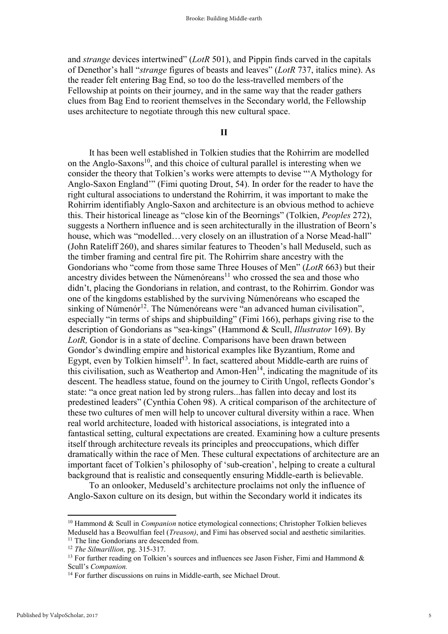and *strange* devices intertwined" (*LotR* 501), and Pippin finds carved in the capitals of Denethor's hall "*strange* figures of beasts and leaves" (*LotR* 737, italics mine). As the reader felt entering Bag End, so too do the less-travelled members of the Fellowship at points on their journey, and in the same way that the reader gathers clues from Bag End to reorient themselves in the Secondary world, the Fellowship uses architecture to negotiate through this new cultural space.

II

It has been well established in Tolkien studies that the Rohirrim are modelled on the Anglo-Saxons<sup>10</sup>, and this choice of cultural parallel is interesting when we consider the theory that Tolkien's works were attempts to devise "'A Mythology for Anglo-Saxon England'" (Fimi quoting Drout, 54). In order for the reader to have the right cultural associations to understand the Rohirrim, it was important to make the Rohirrim identifiably Anglo-Saxon and architecture is an obvious method to achieve this. Their historical lineage as "close kin of the Beornings" (Tolkien, *Peoples* 272), suggests a Northern influence and is seen architecturally in the illustration of Beorn's house, which was "modelled... very closely on an illustration of a Norse Mead-hall" (John Rateliff 260), and shares similar features to Theoden's hall Meduseld, such as the timber framing and central fire pit. The Rohirrim share ancestry with the Gondorians who "come from those same Three Houses of Men" (*LotR* 663) but their ancestry divides between the Númenóreans<sup>11</sup> who crossed the sea and those who didn't, placing the Gondorians in relation, and contrast, to the Rohirrim. Gondor was one of the kingdoms established by the surviving Númenóreans who escaped the sinking of Númenór<sup>12</sup>. The Númenóreans were "an advanced human civilisation", especially "in terms of ships and shipbuilding" (Fimi 166), perhaps giving rise to the description of Gondorians as "sea-kings" (Hammond & Scull, *Illustrator* 169). By *LotR,* Gondor is in a state of decline. Comparisons have been drawn between Gondor's dwindling empire and historical examples like Byzantium, Rome and Egypt, even by Tolkien himself<sup>13</sup>. In fact, scattered about Middle-earth are ruins of this civilisation, such as Weathertop and Amon-Hen $^{14}$ , indicating the magnitude of its descent. The headless statue, found on the journey to Cirith Ungol, reflects Gondor's state: "a once great nation led by strong rulers...has fallen into decay and lost its predestined leaders" (Cynthia Cohen 98). A critical comparison of the architecture of these two cultures of men will help to uncover cultural diversity within a race. When real world architecture, loaded with historical associations, is integrated into a fantastical setting, cultural expectations are created. Examining how a culture presents itself through architecture reveals its principles and preoccupations, which differ dramatically within the race of Men. These cultural expectations of architecture are an important facet of Tolkien's philosophy of 'sub-creation', helping to create a cultural background that is realistic and consequently ensuring Middle-earth is believable.

To an onlooker, Meduseld's architecture proclaims not only the influence of Anglo-Saxon culture on its design, but within the Secondary world it indicates its

<sup>10</sup> Hammond & Scull in *Companion* notice etymological connections; Christopher Tolkien believes Meduseld has a Beowulfian feel (*Treason)*, and Fimi has observed social and aesthetic similarities. <sup>11</sup> The line Gondorians are descended from.

<sup>12</sup> *The Silmarillion,* pg. 315-317.

<sup>&</sup>lt;sup>13</sup> For further reading on Tolkien's sources and influences see Jason Fisher, Fimi and Hammond  $\&$ Scull's *Companion.*

<sup>&</sup>lt;sup>14</sup> For further discussions on ruins in Middle-earth, see Michael Drout.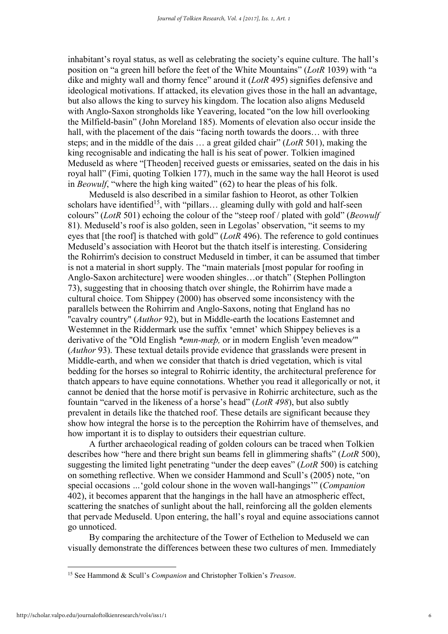inhabitant's royal status, as well as celebrating the society's equine culture. The hall's position on "a green hill before the feet of the White Mountains" (*LotR* 1039) with "a dike and mighty wall and thorny fence" around it (*LotR* 495) signifies defensive and ideological motivations. If attacked, its elevation gives those in the hall an advantage, but also allows the king to survey his kingdom. The location also aligns Meduseld with Anglo-Saxon strongholds like Yeavering, located "on the low hill overlooking the Milfield-basin" (John Moreland 185). Moments of elevation also occur inside the hall, with the placement of the dais "facing north towards the doors... with three steps; and in the middle of the dais … a great gilded chair" (*LotR* 501), making the king recognisable and indicating the hall is his seat of power. Tolkien imagined Meduseld as where "[Theoden] received guests or emissaries, seated on the dais in his royal hall" (Fimi, quoting Tolkien 177), much in the same way the hall Heorot is used in *Beowulf*, "where the high king waited" (62) to hear the pleas of his folk.

Meduseld is also described in a similar fashion to Heorot, as other Tolkien scholars have identified<sup>15</sup>, with "pillars... gleaming dully with gold and half-seen colours" (*LotR* 501) echoing the colour of the "steep roof / plated with gold" (*Beowulf*  81). Meduseld's roof is also golden, seen in Legolas' observation, "it seems to my eyes that [the roof] is thatched with gold" (*LotR* 496). The reference to gold continues Meduseld's association with Heorot but the thatch itself is interesting. Considering the Rohirrim's decision to construct Meduseld in timber, it can be assumed that timber is not a material in short supply. The "main materials [most popular for roofing in Anglo-Saxon architecture] were wooden shingles…or thatch" (Stephen Pollington 73), suggesting that in choosing thatch over shingle, the Rohirrim have made a cultural choice. Tom Shippey (2000) has observed some inconsistency with the parallels between the Rohirrim and Anglo-Saxons, noting that England has no "cavalry country" (*Author* 92), but in Middle-earth the locations Eastemnet and Westemnet in the Riddermark use the suffix 'emnet' which Shippey believes is a derivative of the "Old English *\*emn-mæþ,* or in modern English 'even meadow'" (*Author* 93). These textual details provide evidence that grasslands were present in Middle-earth, and when we consider that thatch is dried vegetation, which is vital bedding for the horses so integral to Rohirric identity, the architectural preference for thatch appears to have equine connotations. Whether you read it allegorically or not, it cannot be denied that the horse motif is pervasive in Rohirric architecture, such as the fountain "carved in the likeness of a horse's head" (*LotR 498*), but also subtly prevalent in details like the thatched roof. These details are significant because they show how integral the horse is to the perception the Rohirrim have of themselves, and how important it is to display to outsiders their equestrian culture.

A further archaeological reading of golden colours can be traced when Tolkien describes how "here and there bright sun beams fell in glimmering shafts" (*LotR* 500), suggesting the limited light penetrating "under the deep eaves" (*LotR* 500) is catching on something reflective. When we consider Hammond and Scull's (2005) note, "on special occasions *…*'gold colour shone in the woven wall-hangings'" (*Companion*  402), it becomes apparent that the hangings in the hall have an atmospheric effect, scattering the snatches of sunlight about the hall, reinforcing all the golden elements that pervade Meduseld. Upon entering, the hall's royal and equine associations cannot go unnoticed.

By comparing the architecture of the Tower of Ecthelion to Meduseld we can visually demonstrate the differences between these two cultures of men. Immediately

<sup>15</sup> See Hammond & Scull's *Companion* and Christopher Tolkien's *Treason*.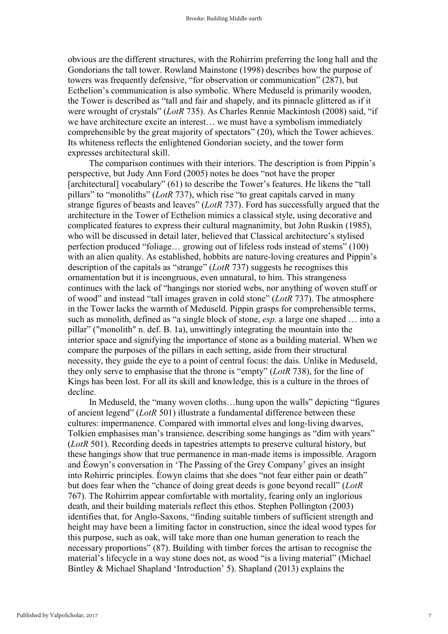obvious are the different structures, with the Rohirrim preferring the long hall and the Gondorians the tall tower. Rowland Mainstone (1998) describes how the purpose of towers was frequently defensive, "for observation or communication" (287), but Ecthelion's communication is also symbolic. Where Meduseld is primarily wooden, the Tower is described as "tall and fair and shapely, and its pinnacle glittered as if it were wrought of crystals" (*LotR* 735). As Charles Rennie Mackintosh (2008) said, "if we have architecture excite an interest… we must have a symbolism immediately comprehensible by the great majority of spectators" (20), which the Tower achieves. Its whiteness reflects the enlightened Gondorian society, and the tower form expresses architectural skill.

The comparison continues with their interiors. The description is from Pippin's perspective, but Judy Ann Ford (2005) notes he does "not have the proper [architectural] vocabulary" (61) to describe the Tower's features. He likens the "tall pillars" to "monoliths" (*LotR* 737), which rise "to great capitals carved in many strange figures of beasts and leaves" (*LotR* 737). Ford has successfully argued that the architecture in the Tower of Ecthelion mimics a classical style, using decorative and complicated features to express their cultural magnanimity, but John Ruskin (1985), who will be discussed in detail later, believed that Classical architecture's stylised perfection produced "foliage… growing out of lifeless rods instead of stems" (100) with an alien quality. As established, hobbits are nature-loving creatures and Pippin's description of the capitals as "strange" (*LotR* 737) suggests he recognises this ornamentation but it is incongruous, even unnatural, to him. This strangeness continues with the lack of "hangings nor storied webs, nor anything of woven stuff or of wood" and instead "tall images graven in cold stone" (*LotR* 737). The atmosphere in the Tower lacks the warmth of Meduseld. Pippin grasps for comprehensible terms, such as monolith, defined as "a single block of stone, *esp.* a large one shaped … into a pillar" ("monolith" n. def. B. 1a), unwittingly integrating the mountain into the interior space and signifying the importance of stone as a building material. When we compare the purposes of the pillars in each setting, aside from their structural necessity, they guide the eye to a point of central focus: the dais. Unlike in Meduseld, they only serve to emphasise that the throne is "empty" (*LotR* 738), for the line of Kings has been lost. For all its skill and knowledge, this is a culture in the throes of decline.

In Meduseld, the "many woven cloths…hung upon the walls" depicting "figures of ancient legend" (*LotR* 501) illustrate a fundamental difference between these cultures: impermanence. Compared with immortal elves and long-living dwarves, Tolkien emphasises man's transience, describing some hangings as "dim with years" (*LotR* 501). Recording deeds in tapestries attempts to preserve cultural history, but these hangings show that true permanence in man-made items is impossible. Aragorn and Èowyn's conversation in 'The Passing of the Grey Company' gives an insight into Rohirric principles. Èowyn claims that she does "not fear either pain or death" but does fear when the "chance of doing great deeds is gone beyond recall" (*LotR*  767). The Rohirrim appear comfortable with mortality, fearing only an inglorious death, and their building materials reflect this ethos. Stephen Pollington (2003) identifies that, for Anglo-Saxons, "finding suitable timbers of sufficient strength and height may have been a limiting factor in construction, since the ideal wood types for this purpose, such as oak, will take more than one human generation to reach the necessary proportions" (87). Building with timber forces the artisan to recognise the material's lifecycle in a way stone does not, as wood "is a living material" (Michael Bintley & Michael Shapland 'Introduction' 5). Shapland (2013) explains the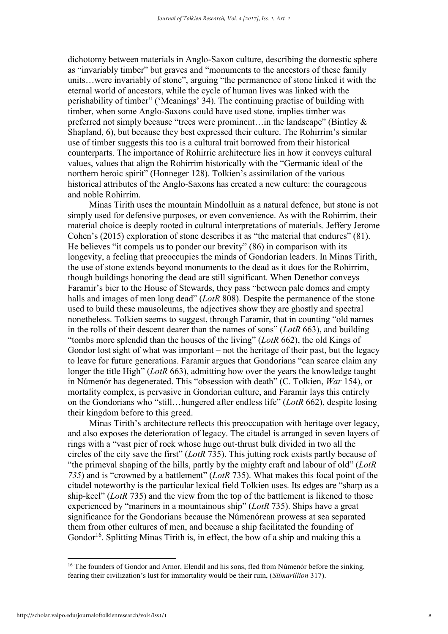dichotomy between materials in Anglo-Saxon culture, describing the domestic sphere as "invariably timber" but graves and "monuments to the ancestors of these family units…were invariably of stone", arguing "the permanence of stone linked it with the eternal world of ancestors, while the cycle of human lives was linked with the perishability of timber" ('Meanings' 34). The continuing practise of building with timber, when some Anglo-Saxons could have used stone, implies timber was preferred not simply because "trees were prominent…in the landscape" (Bintley & Shapland, 6), but because they best expressed their culture. The Rohirrim's similar use of timber suggests this too is a cultural trait borrowed from their historical counterparts. The importance of Rohirric architecture lies in how it conveys cultural values, values that align the Rohirrim historically with the "Germanic ideal of the northern heroic spirit" (Honneger 128). Tolkien's assimilation of the various historical attributes of the Anglo-Saxons has created a new culture: the courageous and noble Rohirrim.

Minas Tirith uses the mountain Mindolluin as a natural defence, but stone is not simply used for defensive purposes, or even convenience. As with the Rohirrim, their material choice is deeply rooted in cultural interpretations of materials. Jeffery Jerome Cohen's (2015) exploration of stone describes it as "the material that endures" (81). He believes "it compels us to ponder our brevity" (86) in comparison with its longevity, a feeling that preoccupies the minds of Gondorian leaders. In Minas Tirith, the use of stone extends beyond monuments to the dead as it does for the Rohirrim, though buildings honoring the dead are still significant. When Denethor conveys Faramir's bier to the House of Stewards, they pass "between pale domes and empty halls and images of men long dead" (*LotR* 808). Despite the permanence of the stone used to build these mausoleums, the adjectives show they are ghostly and spectral nonetheless. Tolkien seems to suggest, through Faramir, that in counting "old names in the rolls of their descent dearer than the names of sons" (*LotR* 663), and building "tombs more splendid than the houses of the living" (*LotR* 662), the old Kings of Gondor lost sight of what was important – not the heritage of their past, but the legacy to leave for future generations. Faramir argues that Gondorians "can scarce claim any longer the title High" (*LotR* 663), admitting how over the years the knowledge taught in Númenór has degenerated. This "obsession with death" (C. Tolkien, *War* 154), or mortality complex, is pervasive in Gondorian culture, and Faramir lays this entirely on the Gondorians who "still…hungered after endless life" (*LotR* 662), despite losing their kingdom before to this greed.

Minas Tirith's architecture reflects this preoccupation with heritage over legacy, and also exposes the deterioration of legacy. The citadel is arranged in seven layers of rings with a "vast pier of rock whose huge out-thrust bulk divided in two all the circles of the city save the first" (*LotR* 735). This jutting rock exists partly because of "the primeval shaping of the hills, partly by the mighty craft and labour of old" (*LotR 735*) and is "crowned by a battlement" (*LotR* 735). What makes this focal point of the citadel noteworthy is the particular lexical field Tolkien uses. Its edges are "sharp as a ship-keel" (*LotR* 735) and the view from the top of the battlement is likened to those experienced by "mariners in a mountainous ship" (*LotR* 735). Ships have a great significance for the Gondorians because the Númenórean prowess at sea separated them from other cultures of men, and because a ship facilitated the founding of Gondor<sup>16</sup>. Splitting Minas Tirith is, in effect, the bow of a ship and making this a

<sup>&</sup>lt;sup>16</sup> The founders of Gondor and Arnor, Elendil and his sons, fled from Númenór before the sinking, fearing their civilization's lust for immortality would be their ruin, (*Silmarillion* 317).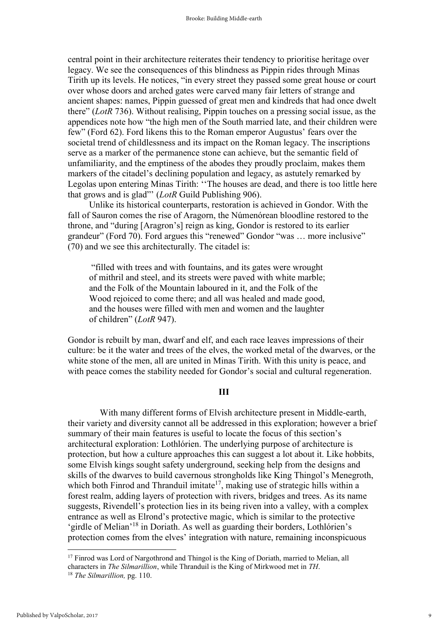central point in their architecture reiterates their tendency to prioritise heritage over legacy. We see the consequences of this blindness as Pippin rides through Minas Tirith up its levels. He notices, "in every street they passed some great house or court over whose doors and arched gates were carved many fair letters of strange and ancient shapes: names, Pippin guessed of great men and kindreds that had once dwelt there" (*LotR* 736). Without realising, Pippin touches on a pressing social issue, as the appendices note how "the high men of the South married late, and their children were few" (Ford 62). Ford likens this to the Roman emperor Augustus' fears over the societal trend of childlessness and its impact on the Roman legacy. The inscriptions serve as a marker of the permanence stone can achieve, but the semantic field of unfamiliarity, and the emptiness of the abodes they proudly proclaim, makes them markers of the citadel's declining population and legacy, as astutely remarked by Legolas upon entering Minas Tirith: ''The houses are dead, and there is too little here that grows and is glad"' (*LotR* Guild Publishing 906).

Unlike its historical counterparts, restoration is achieved in Gondor. With the fall of Sauron comes the rise of Aragorn, the Númenórean bloodline restored to the throne, and "during [Aragron's] reign as king, Gondor is restored to its earlier grandeur" (Ford 70). Ford argues this "renewed" Gondor "was … more inclusive" (70) and we see this architecturally. The citadel is:

"filled with trees and with fountains, and its gates were wrought of mithril and steel, and its streets were paved with white marble; and the Folk of the Mountain laboured in it, and the Folk of the Wood rejoiced to come there; and all was healed and made good, and the houses were filled with men and women and the laughter of children" (*LotR* 947).

Gondor is rebuilt by man, dwarf and elf, and each race leaves impressions of their culture: be it the water and trees of the elves, the worked metal of the dwarves, or the white stone of the men, all are united in Minas Tirith. With this unity is peace, and with peace comes the stability needed for Gondor's social and cultural regeneration.

### III

With many different forms of Elvish architecture present in Middle-earth, their variety and diversity cannot all be addressed in this exploration; however a brief summary of their main features is useful to locate the focus of this section's architectural exploration: Lothlórien. The underlying purpose of architecture is protection, but how a culture approaches this can suggest a lot about it. Like hobbits, some Elvish kings sought safety underground, seeking help from the designs and skills of the dwarves to build cavernous strongholds like King Thingol's Menegroth, which both Finrod and Thranduil imitate<sup>17</sup>, making use of strategic hills within a forest realm, adding layers of protection with rivers, bridges and trees. As its name suggests, Rivendell's protection lies in its being riven into a valley, with a complex entrance as well as Elrond's protective magic, which is similar to the protective 'girdle of Melian'<sup>18</sup> in Doriath. As well as guarding their borders, Lothlórien's protection comes from the elves' integration with nature, remaining inconspicuous

9

<sup>&</sup>lt;sup>17</sup> Finrod was Lord of Nargothrond and Thingol is the King of Doriath, married to Melian, all characters in *The Silmarillion*, while Thranduil is the King of Mirkwood met in *TH*.

<sup>18</sup> *The Silmarillion,* pg. 110.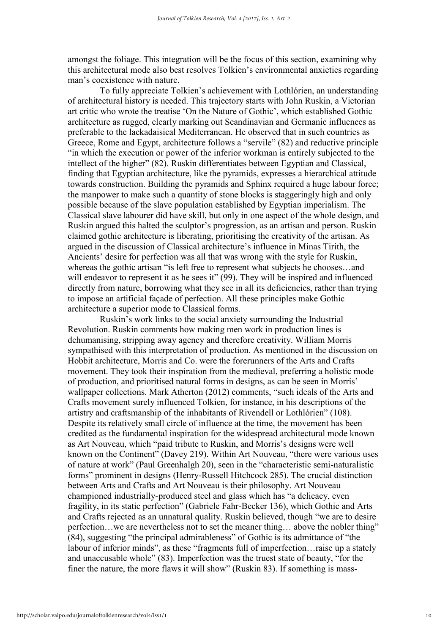amongst the foliage. This integration will be the focus of this section, examining why this architectural mode also best resolves Tolkien's environmental anxieties regarding man's coexistence with nature.

To fully appreciate Tolkien's achievement with Lothlórien, an understanding of architectural history is needed. This trajectory starts with John Ruskin, a Victorian art critic who wrote the treatise 'On the Nature of Gothic', which established Gothic architecture as rugged, clearly marking out Scandinavian and Germanic influences as preferable to the lackadaisical Mediterranean. He observed that in such countries as Greece, Rome and Egypt, architecture follows a "servile" (82) and reductive principle "in which the execution or power of the inferior workman is entirely subjected to the intellect of the higher" (82). Ruskin differentiates between Egyptian and Classical, finding that Egyptian architecture, like the pyramids, expresses a hierarchical attitude towards construction. Building the pyramids and Sphinx required a huge labour force; the manpower to make such a quantity of stone blocks is staggeringly high and only possible because of the slave population established by Egyptian imperialism. The Classical slave labourer did have skill, but only in one aspect of the whole design, and Ruskin argued this halted the sculptor's progression, as an artisan and person. Ruskin claimed gothic architecture is liberating, prioritising the creativity of the artisan. As argued in the discussion of Classical architecture's influence in Minas Tirith, the Ancients' desire for perfection was all that was wrong with the style for Ruskin, whereas the gothic artisan "is left free to represent what subjects he chooses…and will endeavor to represent it as he sees it" (99). They will be inspired and influenced directly from nature, borrowing what they see in all its deficiencies, rather than trying to impose an artificial façade of perfection. All these principles make Gothic architecture a superior mode to Classical forms.

Ruskin's work links to the social anxiety surrounding the Industrial Revolution. Ruskin comments how making men work in production lines is dehumanising, stripping away agency and therefore creativity. William Morris sympathised with this interpretation of production. As mentioned in the discussion on Hobbit architecture, Morris and Co. were the forerunners of the Arts and Crafts movement. They took their inspiration from the medieval, preferring a holistic mode of production, and prioritised natural forms in designs, as can be seen in Morris' wallpaper collections. Mark Atherton (2012) comments, "such ideals of the Arts and Crafts movement surely influenced Tolkien, for instance, in his descriptions of the artistry and craftsmanship of the inhabitants of Rivendell or Lothlórien" (108). Despite its relatively small circle of influence at the time, the movement has been credited as the fundamental inspiration for the widespread architectural mode known as Art Nouveau, which "paid tribute to Ruskin, and Morris's designs were well known on the Continent" (Davey 219). Within Art Nouveau, "there were various uses of nature at work" (Paul Greenhalgh 20), seen in the "characteristic semi-naturalistic forms" prominent in designs (Henry-Russell Hitchcock 285). The crucial distinction between Arts and Crafts and Art Nouveau is their philosophy. Art Nouveau championed industrially-produced steel and glass which has "a delicacy, even fragility, in its static perfection" (Gabriele Fahr-Becker 136), which Gothic and Arts and Crafts rejected as an unnatural quality. Ruskin believed, though "we are to desire perfection…we are nevertheless not to set the meaner thing… above the nobler thing" (84), suggesting "the principal admirableness" of Gothic is its admittance of "the labour of inferior minds", as these "fragments full of imperfection…raise up a stately and unaccusable whole" (83). Imperfection was the truest state of beauty, "for the finer the nature, the more flaws it will show" (Ruskin 83). If something is mass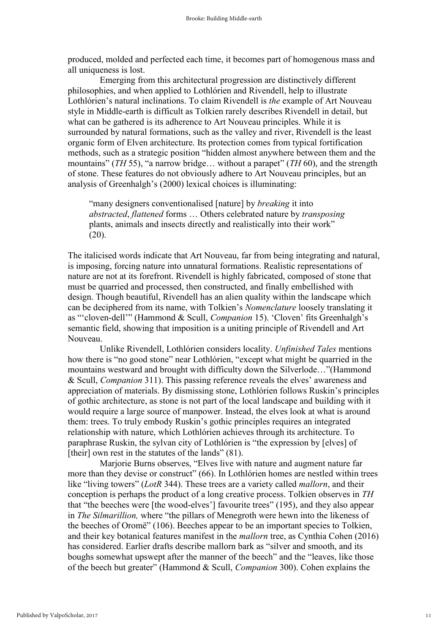produced, molded and perfected each time, it becomes part of homogenous mass and all uniqueness is lost.

Emerging from this architectural progression are distinctively different philosophies, and when applied to Lothlórien and Rivendell, help to illustrate Lothlórien's natural inclinations. To claim Rivendell is *the* example of Art Nouveau style in Middle-earth is difficult as Tolkien rarely describes Rivendell in detail, but what can be gathered is its adherence to Art Nouveau principles. While it is surrounded by natural formations, such as the valley and river, Rivendell is the least organic form of Elven architecture. Its protection comes from typical fortification methods, such as a strategic position "hidden almost anywhere between them and the mountains" (*TH* 55), "a narrow bridge… without a parapet" (*TH* 60), and the strength of stone. These features do not obviously adhere to Art Nouveau principles, but an analysis of Greenhalgh's (2000) lexical choices is illuminating:

"many designers conventionalised [nature] by *breaking* it into *abstracted*, *flattened* forms … Others celebrated nature by *transposing* plants, animals and insects directly and realistically into their work"  $(20)$ .

The italicised words indicate that Art Nouveau, far from being integrating and natural, is imposing, forcing nature into unnatural formations. Realistic representations of nature are not at its forefront. Rivendell is highly fabricated, composed of stone that must be quarried and processed, then constructed, and finally embellished with design. Though beautiful, Rivendell has an alien quality within the landscape which can be deciphered from its name, with Tolkien's *Nomenclature* loosely translating it as "'cloven-dell'" (Hammond & Scull, *Companion* 15). 'Cloven' fits Greenhalgh's semantic field, showing that imposition is a uniting principle of Rivendell and Art Nouveau.

Unlike Rivendell, Lothlórien considers locality. *Unfinished Tales* mentions how there is "no good stone" near Lothlórien, "except what might be quarried in the mountains westward and brought with difficulty down the Silverlode…"(Hammond & Scull, *Companion* 311). This passing reference reveals the elves' awareness and appreciation of materials. By dismissing stone, Lothlórien follows Ruskin's principles of gothic architecture, as stone is not part of the local landscape and building with it would require a large source of manpower. Instead, the elves look at what is around them: trees. To truly embody Ruskin's gothic principles requires an integrated relationship with nature, which Lothlórien achieves through its architecture. To paraphrase Ruskin, the sylvan city of Lothlórien is "the expression by [elves] of [their] own rest in the statutes of the lands" (81).

Marjorie Burns observes, "Elves live with nature and augment nature far more than they devise or construct" (66). In Lothlórien homes are nestled within trees like "living towers" (*LotR* 344). These trees are a variety called *mallorn*, and their conception is perhaps the product of a long creative process. Tolkien observes in *TH* that "the beeches were [the wood-elves'] favourite trees" (195), and they also appear in *The Silmarillion,* where "the pillars of Menegroth were hewn into the likeness of the beeches of Oromë" (106). Beeches appear to be an important species to Tolkien, and their key botanical features manifest in the *mallorn* tree, as Cynthia Cohen (2016) has considered. Earlier drafts describe mallorn bark as "silver and smooth, and its boughs somewhat upswept after the manner of the beech" and the "leaves, like those of the beech but greater" (Hammond & Scull, *Companion* 300). Cohen explains the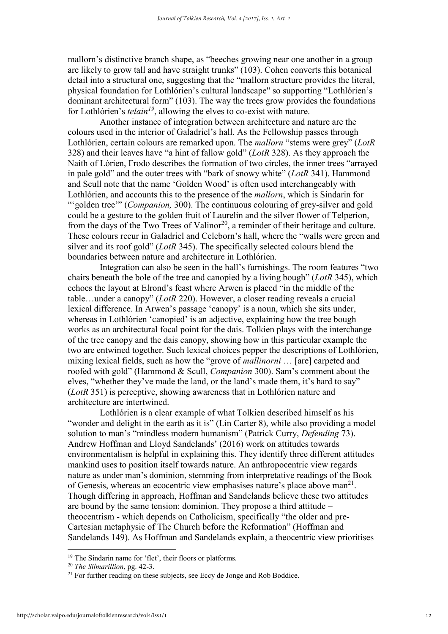mallorn's distinctive branch shape, as "beeches growing near one another in a group are likely to grow tall and have straight trunks" (103). Cohen converts this botanical detail into a structural one, suggesting that the "mallorn structure provides the literal, physical foundation for Lothlórien's cultural landscape" so supporting "Lothlórien's dominant architectural form" (103). The way the trees grow provides the foundations for Lothlórien's *telain<sup>19</sup>*, allowing the elves to co-exist with nature.

Another instance of integration between architecture and nature are the colours used in the interior of Galadriel's hall. As the Fellowship passes through Lothlórien, certain colours are remarked upon. The *mallorn* "stems were grey" (*LotR*  328) and their leaves have "a hint of fallow gold" (*LotR* 328). As they approach the Naith of Lórien, Frodo describes the formation of two circles, the inner trees "arrayed in pale gold" and the outer trees with "bark of snowy white" (*LotR* 341). Hammond and Scull note that the name 'Golden Wood' is often used interchangeably with Lothlórien, and accounts this to the presence of the *mallorn*, which is Sindarin for "'golden tree'" (*Companion,* 300). The continuous colouring of grey-silver and gold could be a gesture to the golden fruit of Laurelin and the silver flower of Telperion, from the days of the Two Trees of Valinor<sup>20</sup>, a reminder of their heritage and culture. These colours recur in Galadriel and Celeborn's hall, where the "walls were green and silver and its roof gold" (*LotR* 345). The specifically selected colours blend the boundaries between nature and architecture in Lothlórien.

Integration can also be seen in the hall's furnishings. The room features "two chairs beneath the bole of the tree and canopied by a living bough" (*LotR* 345), which echoes the layout at Elrond's feast where Arwen is placed "in the middle of the table…under a canopy" (*LotR* 220). However, a closer reading reveals a crucial lexical difference. In Arwen's passage 'canopy' is a noun, which she sits under, whereas in Lothlórien 'canopied' is an adjective, explaining how the tree bough works as an architectural focal point for the dais. Tolkien plays with the interchange of the tree canopy and the dais canopy, showing how in this particular example the two are entwined together. Such lexical choices pepper the descriptions of Lothlórien, mixing lexical fields, such as how the "grove of *mallinorni* … [are] carpeted and roofed with gold" (Hammond & Scull, *Companion* 300). Sam's comment about the elves, "whether they've made the land, or the land's made them, it's hard to say" (*LotR* 351) is perceptive, showing awareness that in Lothlórien nature and architecture are intertwined.

Lothlórien is a clear example of what Tolkien described himself as his "wonder and delight in the earth as it is" (Lin Carter 8), while also providing a model solution to man's "mindless modern humanism" (Patrick Curry, *Defending* 73). Andrew Hoffman and Lloyd Sandelands' (2016) work on attitudes towards environmentalism is helpful in explaining this. They identify three different attitudes mankind uses to position itself towards nature. An anthropocentric view regards nature as under man's dominion, stemming from interpretative readings of the Book of Genesis, whereas an ecocentric view emphasises nature's place above man<sup>21</sup>. Though differing in approach, Hoffman and Sandelands believe these two attitudes are bound by the same tension: dominion. They propose a third attitude – theocentrism - which depends on Catholicism, specifically "the older and pre-Cartesian metaphysic of The Church before the Reformation" (Hoffman and Sandelands 149). As Hoffman and Sandelands explain, a theocentric view prioritises

<sup>19</sup> The Sindarin name for 'flet', their floors or platforms.

<sup>20</sup> *The Silmarillion*, pg. 42-3.

 $21$  For further reading on these subjects, see Eccy de Jonge and Rob Boddice.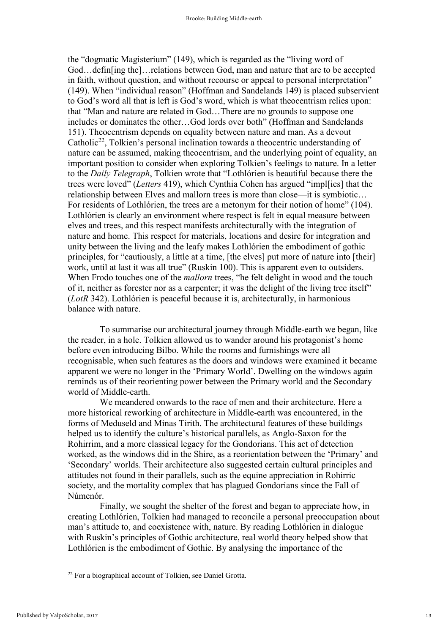the "dogmatic Magisterium" (149), which is regarded as the "living word of God…defin[ing the]…relations between God, man and nature that are to be accepted in faith, without question, and without recourse or appeal to personal interpretation" (149). When "individual reason" (Hoffman and Sandelands 149) is placed subservient to God's word all that is left is God's word, which is what theocentrism relies upon: that "Man and nature are related in God…There are no grounds to suppose one includes or dominates the other…God lords over both" (Hoffman and Sandelands 151). Theocentrism depends on equality between nature and man. As a devout Catholic<sup>22</sup>, Tolkien's personal inclination towards a theocentric understanding of nature can be assumed, making theocentrism, and the underlying point of equality, an important position to consider when exploring Tolkien's feelings to nature. In a letter to the *Daily Telegraph*, Tolkien wrote that "Lothlórien is beautiful because there the trees were loved" (*Letters* 419), which Cynthia Cohen has argued "impl[ies] that the relationship between Elves and mallorn trees is more than close—it is symbiotic… For residents of Lothlórien, the trees are a metonym for their notion of home" (104). Lothlórien is clearly an environment where respect is felt in equal measure between elves and trees, and this respect manifests architecturally with the integration of nature and home. This respect for materials, locations and desire for integration and unity between the living and the leafy makes Lothlórien the embodiment of gothic principles, for "cautiously, a little at a time, [the elves] put more of nature into [their] work, until at last it was all true" (Ruskin 100). This is apparent even to outsiders. When Frodo touches one of the *mallorn* trees, "he felt delight in wood and the touch of it, neither as forester nor as a carpenter; it was the delight of the living tree itself" (*LotR* 342). Lothlórien is peaceful because it is, architecturally, in harmonious balance with nature.

To summarise our architectural journey through Middle-earth we began, like the reader, in a hole. Tolkien allowed us to wander around his protagonist's home before even introducing Bilbo. While the rooms and furnishings were all recognisable, when such features as the doors and windows were examined it became apparent we were no longer in the 'Primary World'. Dwelling on the windows again reminds us of their reorienting power between the Primary world and the Secondary world of Middle-earth.

We meandered onwards to the race of men and their architecture. Here a more historical reworking of architecture in Middle-earth was encountered, in the forms of Meduseld and Minas Tirith. The architectural features of these buildings helped us to identify the culture's historical parallels, as Anglo-Saxon for the Rohirrim, and a more classical legacy for the Gondorians. This act of detection worked, as the windows did in the Shire, as a reorientation between the 'Primary' and 'Secondary' worlds. Their architecture also suggested certain cultural principles and attitudes not found in their parallels, such as the equine appreciation in Rohirric society, and the mortality complex that has plagued Gondorians since the Fall of Númenór.

Finally, we sought the shelter of the forest and began to appreciate how, in creating Lothlórien, Tolkien had managed to reconcile a personal preoccupation about man's attitude to, and coexistence with, nature. By reading Lothlórien in dialogue with Ruskin's principles of Gothic architecture, real world theory helped show that Lothlórien is the embodiment of Gothic. By analysing the importance of the

<sup>&</sup>lt;sup>22</sup> For a biographical account of Tolkien, see Daniel Grotta.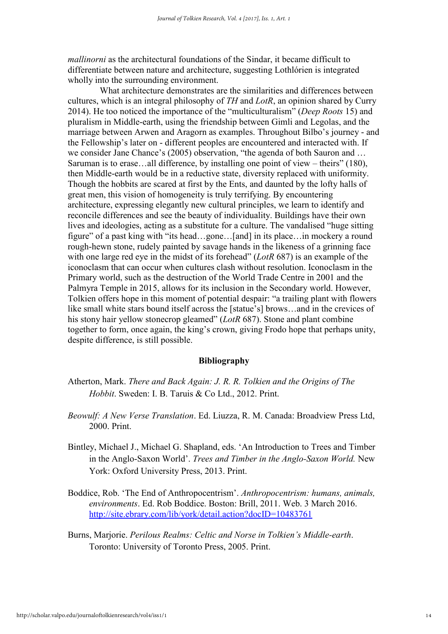*mallinorni* as the architectural foundations of the Sindar, it became difficult to differentiate between nature and architecture, suggesting Lothlórien is integrated wholly into the surrounding environment.

What architecture demonstrates are the similarities and differences between cultures, which is an integral philosophy of *TH* and *LotR*, an opinion shared by Curry 2014). He too noticed the importance of the "multiculturalism" (*Deep Roots* 15) and pluralism in Middle-earth, using the friendship between Gimli and Legolas, and the marriage between Arwen and Aragorn as examples. Throughout Bilbo's journey - and the Fellowship's later on - different peoples are encountered and interacted with. If we consider Jane Chance's (2005) observation, "the agenda of both Sauron and … Saruman is to erase…all difference, by installing one point of view – theirs" (180), then Middle-earth would be in a reductive state, diversity replaced with uniformity. Though the hobbits are scared at first by the Ents, and daunted by the lofty halls of great men, this vision of homogeneity is truly terrifying. By encountering architecture, expressing elegantly new cultural principles, we learn to identify and reconcile differences and see the beauty of individuality. Buildings have their own lives and ideologies, acting as a substitute for a culture. The vandalised "huge sitting figure" of a past king with "its head…gone…[and] in its place…in mockery a round rough-hewn stone, rudely painted by savage hands in the likeness of a grinning face with one large red eye in the midst of its forehead" (*LotR* 687) is an example of the iconoclasm that can occur when cultures clash without resolution. Iconoclasm in the Primary world, such as the destruction of the World Trade Centre in 2001 and the Palmyra Temple in 2015, allows for its inclusion in the Secondary world. However, Tolkien offers hope in this moment of potential despair: "a trailing plant with flowers like small white stars bound itself across the [statue's] brows…and in the crevices of his stony hair yellow stonecrop gleamed" (*LotR* 687). Stone and plant combine together to form, once again, the king's crown, giving Frodo hope that perhaps unity, despite difference, is still possible.

### Bibliography

- Atherton, Mark. *There and Back Again: J. R. R. Tolkien and the Origins of The Hobbit*. Sweden: I. B. Taruis & Co Ltd., 2012. Print.
- *Beowulf: A New Verse Translation*. Ed. Liuzza, R. M. Canada: Broadview Press Ltd, 2000. Print.
- Bintley, Michael J., Michael G. Shapland, eds. 'An Introduction to Trees and Timber in the Anglo-Saxon World'. *Trees and Timber in the Anglo-Saxon World.* New York: Oxford University Press, 2013. Print.
- Boddice, Rob. 'The End of Anthropocentrism'. *Anthropocentrism: humans, animals, environments*. Ed. Rob Boddice. Boston: Brill, 2011. Web. 3 March 2016. <http://site.ebrary.com/lib/york/detail.action?docID=10483761>
- Burns, Marjorie. *Perilous Realms: Celtic and Norse in Tolkien's Middle-earth*. Toronto: University of Toronto Press, 2005. Print.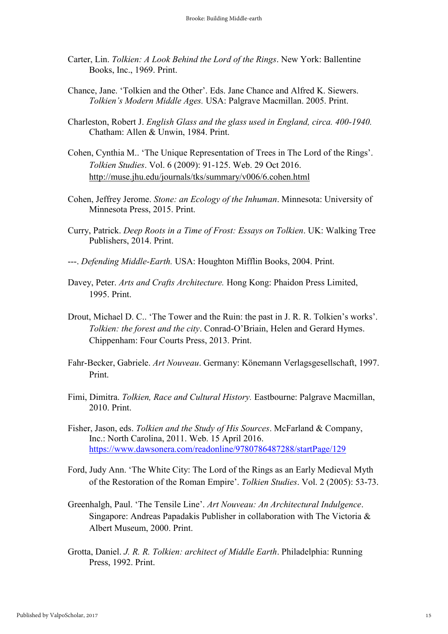- Carter, Lin. *Tolkien: A Look Behind the Lord of the Rings*. New York: Ballentine Books, Inc., 1969. Print.
- Chance, Jane. 'Tolkien and the Other'. Eds. Jane Chance and Alfred K. Siewers. *Tolkien's Modern Middle Ages.* USA: Palgrave Macmillan. 2005. Print.
- Charleston, Robert J. *English Glass and the glass used in England, circa. 400-1940.* Chatham: Allen & Unwin, 1984. Print.
- Cohen, Cynthia M.. 'The Unique Representation of Trees in The Lord of the Rings'. *Tolkien Studies*. Vol. 6 (2009): 91-125. Web. 29 Oct 2016. <http://muse.jhu.edu/journals/tks/summary/v006/6.cohen.html>
- Cohen, Jeffrey Jerome. *Stone: an Ecology of the Inhuman*. Minnesota: University of Minnesota Press, 2015. Print.
- Curry, Patrick. *Deep Roots in a Time of Frost: Essays on Tolkien*. UK: Walking Tree Publishers, 2014. Print.
- ---. *Defending Middle-Earth.* USA: Houghton Mifflin Books, 2004. Print.
- Davey, Peter. *Arts and Crafts Architecture.* Hong Kong: Phaidon Press Limited, 1995. Print.
- Drout, Michael D. C.. 'The Tower and the Ruin: the past in J. R. R. Tolkien's works'. *Tolkien: the forest and the city*. Conrad-O'Briain, Helen and Gerard Hymes. Chippenham: Four Courts Press, 2013. Print.
- Fahr-Becker, Gabriele. *Art Nouveau*. Germany: Könemann Verlagsgesellschaft, 1997. Print.
- Fimi, Dimitra. *Tolkien, Race and Cultural History.* Eastbourne: Palgrave Macmillan, 2010. Print.
- Fisher, Jason, eds. *Tolkien and the Study of His Sources*. McFarland & Company, Inc.: North Carolina, 2011. Web. 15 April 2016. <https://www.dawsonera.com/readonline/9780786487288/startPage/129>
- Ford, Judy Ann. 'The White City: The Lord of the Rings as an Early Medieval Myth of the Restoration of the Roman Empire'. *Tolkien Studies*. Vol. 2 (2005): 53-73.
- Greenhalgh, Paul. 'The Tensile Line'. *Art Nouveau: An Architectural Indulgence*. Singapore: Andreas Papadakis Publisher in collaboration with The Victoria & Albert Museum, 2000. Print.
- Grotta, Daniel. *J. R. R. Tolkien: architect of Middle Earth*. Philadelphia: Running Press, 1992. Print.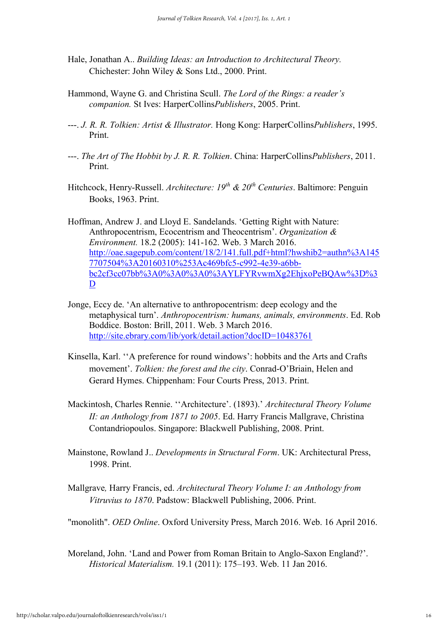- Hale, Jonathan A.. *Building Ideas: an Introduction to Architectural Theory.* Chichester: John Wiley & Sons Ltd., 2000. Print.
- Hammond, Wayne G. and Christina Scull. *The Lord of the Rings: a reader's companion.* St Ives: HarperCollins*Publishers*, 2005. Print.
- ---. *J. R. R. Tolkien: Artist & Illustrator.* Hong Kong: HarperCollins*Publishers*, 1995. Print.
- ---. *The Art of The Hobbit by J. R. R. Tolkien*. China: HarperCollins*Publishers*, 2011. Print.
- Hitchcock, Henry-Russell. *Architecture: 19th & 20th Centuries*. Baltimore: Penguin Books, 1963. Print.
- Hoffman, Andrew J. and Lloyd E. Sandelands. 'Getting Right with Nature: Anthropocentrism, Ecocentrism and Theocentrism'. *Organization & Environment.* 18.2 (2005): 141-162. Web. 3 March 2016. [http://oae.sagepub.com/content/18/2/141.full.pdf+html?hwshib2=authn%3A145](http://oae.sagepub.com/content/18/2/141.full.pdf+html?hwshib2=authn%3A1457707504%3A20160310%253Ac469bfc5-c992-4e39-a6bb-bc2cf3cc07bb%3A0%3A0%3A0%3AYLFYRvwmXg2EhjxoPeBQAw%3D%3D) [7707504%3A20160310%253Ac469bfc5-c992-4e39-a6bb](http://oae.sagepub.com/content/18/2/141.full.pdf+html?hwshib2=authn%3A1457707504%3A20160310%253Ac469bfc5-c992-4e39-a6bb-bc2cf3cc07bb%3A0%3A0%3A0%3AYLFYRvwmXg2EhjxoPeBQAw%3D%3D)[bc2cf3cc07bb%3A0%3A0%3A0%3AYLFYRvwmXg2EhjxoPeBQAw%3D%3](http://oae.sagepub.com/content/18/2/141.full.pdf+html?hwshib2=authn%3A1457707504%3A20160310%253Ac469bfc5-c992-4e39-a6bb-bc2cf3cc07bb%3A0%3A0%3A0%3AYLFYRvwmXg2EhjxoPeBQAw%3D%3D)  $\overline{D}$  $\overline{D}$  $\overline{D}$
- Jonge, Eccy de. 'An alternative to anthropocentrism: deep ecology and the metaphysical turn'. *Anthropocentrism: humans, animals, environments*. Ed. Rob Boddice. Boston: Brill, 2011. Web. 3 March 2016. <http://site.ebrary.com/lib/york/detail.action?docID=10483761>
- Kinsella, Karl. ''A preference for round windows': hobbits and the Arts and Crafts movement'. *Tolkien: the forest and the city*. Conrad-O'Briain, Helen and Gerard Hymes. Chippenham: Four Courts Press, 2013. Print.
- Mackintosh, Charles Rennie. ''Architecture'. (1893).' *Architectural Theory Volume II: an Anthology from 1871 to 2005*. Ed. Harry Francis Mallgrave, Christina Contandriopoulos. Singapore: Blackwell Publishing, 2008. Print.
- Mainstone, Rowland J.. *Developments in Structural Form*. UK: Architectural Press, 1998. Print.
- Mallgrave*,* Harry Francis, ed. *Architectural Theory Volume I: an Anthology from Vitruvius to 1870*. Padstow: Blackwell Publishing, 2006. Print.

"monolith". *OED Online*. Oxford University Press, March 2016. Web. 16 April 2016.

Moreland, John. 'Land and Power from Roman Britain to Anglo-Saxon England?'. *Historical Materialism.* 19.1 (2011): 175–193. Web. 11 Jan 2016.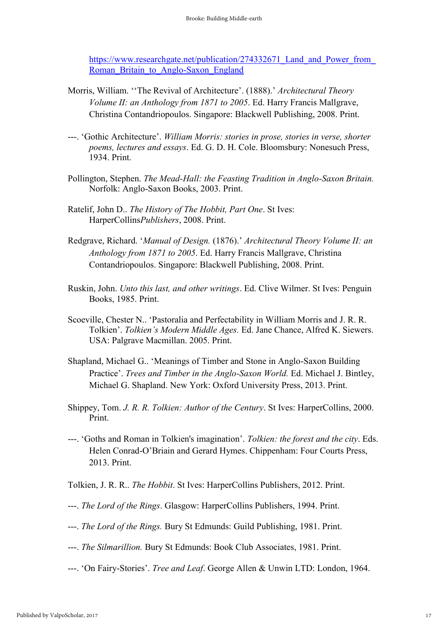https://www.researchgate.net/publication/274332671\_Land\_and\_Power\_from Roman Britain to Anglo-Saxon England

- Morris, William. ''The Revival of Architecture'. (1888).' *Architectural Theory Volume II: an Anthology from 1871 to 2005*. Ed. Harry Francis Mallgrave, Christina Contandriopoulos. Singapore: Blackwell Publishing, 2008. Print.
- ---. 'Gothic Architecture'. *William Morris: stories in prose, stories in verse, shorter poems, lectures and essays*. Ed. G. D. H. Cole. Bloomsbury: Nonesuch Press, 1934. Print.
- Pollington, Stephen. *The Mead-Hall: the Feasting Tradition in Anglo-Saxon Britain.*  Norfolk: Anglo-Saxon Books, 2003. Print.
- Ratelif, John D.. *The History of The Hobbit, Part One*. St Ives: HarperCollins*Publishers*, 2008. Print.
- Redgrave, Richard. '*Manual of Design.* (1876).' *Architectural Theory Volume II: an Anthology from 1871 to 2005*. Ed. Harry Francis Mallgrave, Christina Contandriopoulos. Singapore: Blackwell Publishing, 2008. Print.
- Ruskin, John. *Unto this last, and other writings*. Ed. Clive Wilmer. St Ives: Penguin Books, 1985. Print.
- Scoeville, Chester N.. 'Pastoralia and Perfectability in William Morris and J. R. R. Tolkien'. *Tolkien's Modern Middle Ages.* Ed. Jane Chance, Alfred K. Siewers. USA: Palgrave Macmillan. 2005. Print.
- Shapland, Michael G.. 'Meanings of Timber and Stone in Anglo-Saxon Building Practice'. *Trees and Timber in the Anglo-Saxon World.* Ed. Michael J. Bintley, Michael G. Shapland. New York: Oxford University Press, 2013. Print.
- Shippey, Tom. *J. R. R. Tolkien: Author of the Century*. St Ives: HarperCollins, 2000. Print.
- ---. 'Goths and Roman in Tolkien's imagination'. *Tolkien: the forest and the city*. Eds. Helen Conrad-O'Briain and Gerard Hymes. Chippenham: Four Courts Press, 2013. Print.
- Tolkien, J. R. R.. *The Hobbit*. St Ives: HarperCollins Publishers, 2012. Print.
- ---. *The Lord of the Rings*. Glasgow: HarperCollins Publishers, 1994. Print.
- ---. *The Lord of the Rings.* Bury St Edmunds: Guild Publishing, 1981. Print.
- ---. *The Silmarillion.* Bury St Edmunds: Book Club Associates, 1981. Print.
- ---. 'On Fairy-Stories'. *Tree and Leaf*. George Allen & Unwin LTD: London, 1964.